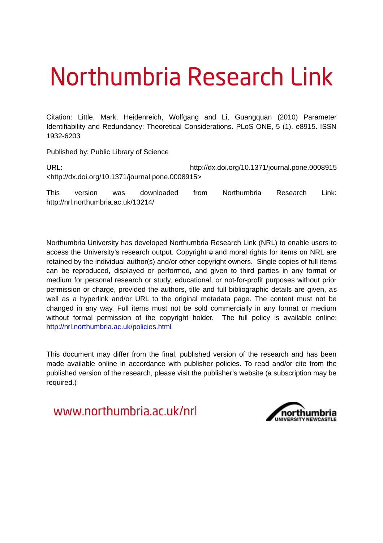# Northumbria Research Link

Citation: Little, Mark, Heidenreich, Wolfgang and Li, Guangquan (2010) Parameter Identifiability and Redundancy: Theoretical Considerations. PLoS ONE, 5 (1). e8915. ISSN 1932-6203

Published by: Public Library of Science

URL: http://dx.doi.org/10.1371/journal.pone.0008915 <http://dx.doi.org/10.1371/journal.pone.0008915>

This version was downloaded from Northumbria Research Link: http://nrl.northumbria.ac.uk/13214/

Northumbria University has developed Northumbria Research Link (NRL) to enable users to access the University's research output. Copyright  $\circ$  and moral rights for items on NRL are retained by the individual author(s) and/or other copyright owners. Single copies of full items can be reproduced, displayed or performed, and given to third parties in any format or medium for personal research or study, educational, or not-for-profit purposes without prior permission or charge, provided the authors, title and full bibliographic details are given, as well as a hyperlink and/or URL to the original metadata page. The content must not be changed in any way. Full items must not be sold commercially in any format or medium without formal permission of the copyright holder. The full policy is available online: <http://nrl.northumbria.ac.uk/policies.html>

This document may differ from the final, published version of the research and has been made available online in accordance with publisher policies. To read and/or cite from the published version of the research, please visit the publisher's website (a subscription may be required.)

www.northumbria.ac.uk/nrl

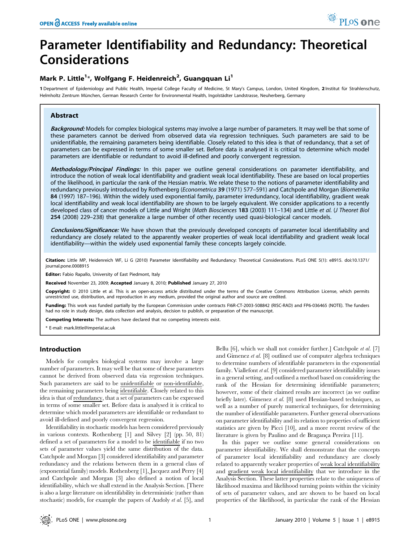# Parameter Identifiability and Redundancy: Theoretical Considerations

# Mark P. Little<sup>1\*</sup>, Wolfgang F. Heidenreich<sup>2</sup>, Guangquan Li<sup>1</sup>

1 Department of Epidemiology and Public Health, Imperial College Faculty of Medicine, St Mary's Campus, London, United Kingdom, 2 Institut für Strahlenschutz, Helmholtz Zentrum München, German Research Center for Environmental Health, Ingolstädter Landstrasse, Neuherberg, Germany

# Abstract

Background: Models for complex biological systems may involve a large number of parameters. It may well be that some of these parameters cannot be derived from observed data via regression techniques. Such parameters are said to be unidentifiable, the remaining parameters being identifiable. Closely related to this idea is that of redundancy, that a set of parameters can be expressed in terms of some smaller set. Before data is analysed it is critical to determine which model parameters are identifiable or redundant to avoid ill-defined and poorly convergent regression.

Methodology/Principal Findings: In this paper we outline general considerations on parameter identifiability, and introduce the notion of weak local identifiability and gradient weak local identifiability. These are based on local properties of the likelihood, in particular the rank of the Hessian matrix. We relate these to the notions of parameter identifiability and redundancy previously introduced by Rothenberg (Econometrica 39 (1971) 577–591) and Catchpole and Morgan (Biometrika 84 (1997) 187–196). Within the widely used exponential family, parameter irredundancy, local identifiability, gradient weak local identifiability and weak local identifiability are shown to be largely equivalent. We consider applications to a recently developed class of cancer models of Little and Wright (Math Biosciences 183 (2003) 111-134) and Little et al. (J Theoret Biol 254 (2008) 229–238) that generalize a large number of other recently used quasi-biological cancer models.

Conclusions/Significance: We have shown that the previously developed concepts of parameter local identifiability and redundancy are closely related to the apparently weaker properties of weak local identifiability and gradient weak local identifiability—within the widely used exponential family these concepts largely coincide.

Citation: Little MP, Heidenreich WF, Li G (2010) Parameter Identifiability and Redundancy: Theoretical Considerations. PLoS ONE 5(1): e8915. doi:10.1371/ journal.pone.0008915

Editor: Fabio Rapallo, University of East Piedmont, Italy

Received November 23, 2009; Accepted January 8, 2010; Published January 27, 2010

Copyright: © 2010 Little et al. This is an open-access article distributed under the terms of the Creative Commons Attribution License, which permits unrestricted use, distribution, and reproduction in any medium, provided the original author and source are credited.

Funding: This work was funded partially by the European Commission under contracts FI6R-CT-2003-508842 (RISC-RAD) and FP6-036465 (NOTE). The funders had no role in study design, data collection and analysis, decision to publish, or preparation of the manuscript.

Competing Interests: The authors have declared that no competing interests exist.

\* E-mail: mark.little@imperial.ac.uk

# Introduction

Models for complex biological systems may involve a large number of parameters. It may well be that some of these parameters cannot be derived from observed data via regression techniques. Such parameters are said to be unidentifiable or non-identifiable, the remaining parameters being identifiable. Closely related to this idea is that of redundancy, that a set of parameters can be expressed in terms of some smaller set. Before data is analysed it is critical to determine which model parameters are identifiable or redundant to avoid ill-defined and poorly convergent regression.

Identifiability in stochastic models has been considered previously in various contexts. Rothenberg [1] and Silvey [2] (pp. 50, 81) defined a set of parameters for a model to be identifiable if no two sets of parameter values yield the same distribution of the data. Catchpole and Morgan [3] considered identifiability and parameter redundancy and the relations between them in a general class of (exponential family) models. Rothenberg [1], Jacquez and Perry [4] and Catchpole and Morgan [3] also defined a notion of local identifiability, which we shall extend in the Analysis Section. [There is also a large literature on identifability in deterministic (rather than stochastic) models, for example the papers of Audoly et al. [5], and Bellu [6], which we shall not consider further.] Catchpole et al. [7] and Gimenez et al. [8] outlined use of computer algebra techniques to determine numbers of identifiable parameters in the exponential family. Viallefont et al. [9] considered parameter identifiability issues in a general setting, and outlined a method based on considering the rank of the Hessian for determining identifiable parameters; however, some of their claimed results are incorrect (as we outline briefly later). Gimenez et al. [8] used Hessian-based techniques, as well as a number of purely numerical techniques, for determining the number of identifiable parameters. Further general observations on parameter identifiability and its relation to properties of sufficient statistics are given by Picci [10], and a more recent review of the literature is given by Paulino and de Bragança Pereira [11].

In this paper we outline some general considerations on parameter identifiability. We shall demonstrate that the concepts of parameter local identifiability and redundancy are closely related to apparently weaker properties of weak local identifiability and gradient weak local identifiability that we introduce in the Analysis Section. These latter properties relate to the uniqueness of likelihood maxima and likelihood turning points within the vicinity of sets of parameter values, and are shown to be based on local properties of the likelihood, in particular the rank of the Hessian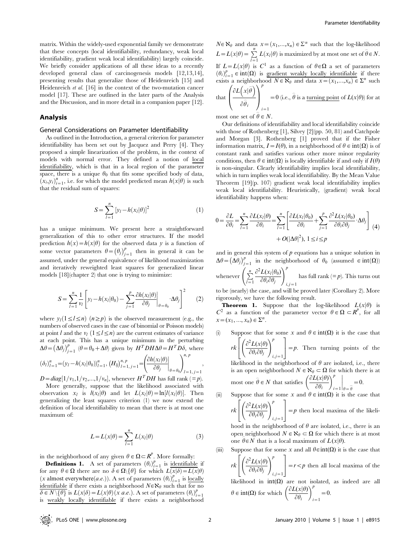matrix. Within the widely-used exponential family we demonstrate that these concepts (local identifiability, redundancy, weak local identifiability, gradient weak local identifiability) largely coincide. We briefly consider applications of all these ideas to a recently developed general class of carcinogenesis models [12,13,14], presenting results that generalize those of Heidenreich [15] and Heidenreich et al. [16] in the context of the two-mutation cancer model [17]. These are outlined in the later parts of the Analysis and the Discussion, and in more detail in a companion paper [12].

#### Analysis

#### General Considerations on Parameter Identifiability

As outlined in the Introduction, a general criterion for parameter identifiability has been set out by Jacquez and Perry [4]. They proposed a simple linearization of the problem, in the context of models with normal error. They defined a notion of local identifiability, which is that in a local region of the parameter space, there is a unique  $\theta_0$  that fits some specified body of data,  $(x_i, y_i)_{i=1}^n$ , i.e. for which the model predicted mean  $h(x|\theta)$  is such that the residual sum of squares:

$$
S = \sum_{l=1}^{n} [y_l - h(x_l|\theta)]^2
$$
 (1)

has a unique minimum. We present here a straightforward generalization of this to other error structures. If the model prediction  $h(x) = h(x|\theta)$  for the observed data y is a function of some vector parameters  $\theta = (\theta_j)_{j=1}^p$  then in general it can be assumed, under the general equivalence of likelihood maximization and iteratively reweighted least squares for generalized linear models [18](chapter 2) that one is trying to minimize:

$$
S = \sum_{l=1}^{n} \frac{1}{v_l} \left[ y_l - h(x_l | \theta_0) - \sum_{j=1}^{p} \frac{\partial h(x_l | \theta)}{\partial \theta_j} \bigg|_{\theta = \theta_0} \cdot \Delta \theta_j \right]^2 \tag{2}
$$

where  $y_l(1 \leq l \leq n)$   $(n \geq p)$  is the observed measurement (e.g., the numbers of observed cases in the case of binomial or Poisson models) at point l and the  $v_l$   $(1 \le l \le n)$  are the current estimates of variance at each point. This has a unique minimum in the perturbing  $\Delta\theta = (\Delta\theta_j)_{j=1}^p$  ( $\theta = \theta_0 + \Delta\theta$ ) given by  $H^T D H \Delta\theta = H^T D \delta$ , where  $(\delta_l)_{l=1}^n = (y_l - h(x_l|\theta_0))_{l=1}^n, (H_{lj})_{l=1, j=1}^{n, p} = \frac{\left(\frac{\partial h(x_l|\theta)}{\partial \theta_l}\right)^n}{\frac{\partial h(x_l|\theta)}{\partial \theta_l}}$  $\partial \theta_j$  $\bigg|_{\theta=\theta_0}$  $\int \partial h(x_i|\theta)$   $\Big\vert \int^{n, p}$  $l=1, j=1$ ,

 $D=diag[1/v_1,1/v_2,...,1/v_n]$ , whenever  $H^TDH$  has full rank (=p).

More generally, suppose that the likelihood associated with observation  $x_l$  is  $l(x_l|\theta)$  and let  $L(x_l|\theta) = \ln[l(x_l|\theta)]$ . Then generalizing the least squares criterion (1) we now extend the definition of local identifiability to mean that there is at most one maximum of:

$$
L = L(x|\theta) = \sum_{l=1}^{n} L(x_l|\theta)
$$
 (3)

in the neighborhood of any given  $\theta \in \Omega \subset \mathbb{R}^p$ . More formally:

**Definitions 1.** A set of parameters  $(\theta_i)_{i=1}^p$  is <u>identifiable</u> if for any  $\theta \in \Omega$  there are no  $\delta \in \Omega \setminus \{\theta\}$  for which  $L(\overline{x|\delta)} = L(\overline{x|\theta})$ (*x* almost everywhere(*a.e.*)). A set of parameters  $(\theta_i)_{i=1}^p$  is <u>locally</u> identifiable if there exists a neighborhood  $N \in \aleph_\theta$  such that for no  $\overline{\delta \in N \setminus \{\theta\}}$  is  $L(x|\delta) = L(x|\theta)(x|a.e.).$  A set of parameters  $(\theta_i)_{i=1}^p$ is weakly locally identifiable if there exists a neighborhood

 $N \in \aleph_{\theta}$  and data  $x = (x_1,...,x_n) \in \Sigma^n$  such that the log-likelihood  $L = L(x|\theta) = \sum_{l=1}^{n} L(x_l|\theta)$  is maximized by at most one set of  $\hat{\theta} \in N$ . If  $L = L(x|\theta)$  is C<sup>1</sup> as a function of  $\theta \in \Omega$  a set of parameters  $(\theta_i)_{i=1}^p \in \text{int}(\Omega)$  is gradient weakly locally identifiable if there exists a neighborhood  $N \in \aleph_{\theta}$  and data  $x = (x_1,...,x_n) \in \Sigma^n$  such that  $\left(\frac{\partial L(x|\widehat{\theta})}{\partial x}\right)^p$  $\overline{a}$ 

$$
\text{hat}\left(\frac{\partial L(x|\theta)}{\partial \hat{\theta}_i}\right)_{i=1} = 0 \text{ (i.e., } \hat{\theta} \text{ is a turning point of } L(x|\theta) \text{) for at }
$$

most one set of  $\widehat{\theta} \in N$ .

Our definitions of identifiability and local identifiability coincide with those of Rothenberg [1], Silvey [2](pp. 50, 81) and Catchpole and Morgan [3]. Rothenberg [1] proved that if the Fisher information matrix,  $I = I(\theta)$ , in a neighborhood of  $\theta \in \text{int}(\Omega)$  is of constant rank and satisfies various other more minor regularity conditions, then  $\theta \in \text{int}(\Omega)$  is locally identifiable if and only if  $I(\theta)$ is non-singular. Clearly identifiability implies local identifiability, which in turn implies weak local identifiability. By the Mean Value Theorem [19](p. 107) gradient weak local identifiability implies weak local identifiability. Heuristically, (gradient) weak local identifiability happens when:

$$
0 = \frac{\partial L}{\partial \theta_i} = \sum_{l=1}^n \frac{\partial L(x_l|\theta)}{\partial \theta_i} = \sum_{l=1}^n \left[ \frac{\partial L(x_l|\theta_0)}{\partial \theta_i} + \sum_{j=1}^p \frac{\partial^2 L(x_l|\theta_0)}{\partial \theta_i \partial \theta_j} \cdot \Delta \theta_j \right] (4)
$$

$$
+ O(|\Delta \theta|^2), 1 \le i \le p
$$

and in general this system of  $p$  equations has a unique solution in  $\Delta\theta = (\Delta\theta_j)_{j=1}^p$  in the neighborhood of  $\theta_0$  (assumed  $\in \text{int}(\Omega)$ )  $\int n \frac{\partial^2 L(x_i|\theta_0)}{P(x_i|\theta_0)}$ 

whenever  $\left(\sum_{l=1}^n\right)$  $\partial^2 L(x_l|\theta_0)$  $\partial \theta_i \partial \theta_j$  $i, j = 1$ has full rank  $(=p)$ . This turns out

to be (nearly) the case, and will be proved later (Corollary 2). More rigorously, we have the following result.

**Theorem 1.** Suppose that the log-likelihood  $L(x|\theta)$  is  $C^2$  as a function of the parameter vector  $\theta \in \Omega \subset R^p$ , for all  $x = (x_1, ..., x_n) \in \Sigma^n$ .

Suppose that for some x and  $\theta \in \text{int}(\Omega)$  it is the case that  $rk\left[\left(\frac{\partial^2 L(x|\theta)}{\partial \theta \partial \theta}\right)\right]$  $\partial \theta_i \partial \theta_j$  $\int \frac{\partial^2 L(x|\theta)}{\partial x^p}$  $i, j = 1$  $\sqrt{2}$ 4 3  $=$   $p$ . Then turning points of the likelihood in the neighborhood of  $\theta$  are isolated, i.e., there

is an open neighborhood  $N \in \aleph_{\theta} \subset \Omega$  for which there is at most one  $\hat{\theta} \in N$  that satisfies  $\left(\frac{\partial L(x|\theta)}{\partial \theta}\right)$  $\partial \theta_i$  $\left(\frac{\partial L(x|\theta)}{\partial x}\right)^p$  $i=1$  $\Big|_{\theta=\widehat{\theta}}=0.$ 

- (ii) Suppose that for some x and  $\theta \in \text{int}(\Omega)$  it is the case that  $rk \left[ \left( \frac{\partial^2 L(x|\theta)}{\partial \theta \partial \theta} \right)$  $\partial \theta_i \partial \theta_j$  $\int \partial^2 L(x|\theta) \sqrt{p}$  $\sqrt{2}$ 4 3  $=$  p then local maxima of the likeli
	- $i, j = 1$ hood in the neighborhood of  $\theta$  are isolated, i.e., there is an open neighborhood  $N \in \aleph_{\theta} \subset \Omega$  for which there is at most one  $\hat{\theta} \in N$  that is a local maximum of  $L(x|\theta)$ .
- (iii) Suppose that for some x and all  $\theta \in \text{int}(\Omega)$  it is the case that  $rk \left[ \left( \frac{\partial^2 L(x|\theta)}{\partial \theta \partial \theta} \right)$  $\partial \theta_i \partial \theta_j$  $\int \frac{\partial^2 L(x|\theta)}{\partial x^p}$  $i, j = 1$  $\sqrt{2}$ 4 3  $= r < p$  then all local maxima of the likelihood in  $int(\Omega)$  are not isolated, as indeed are all  $\theta \in \text{int}(\Omega)$  for which  $\left(\frac{\partial L(x|\theta)}{\partial \Omega}\right)$  $\partial \theta$  $\left(\frac{\partial L(x|\theta)}{\partial x}\right)^p$  $_{i=1} = 0.$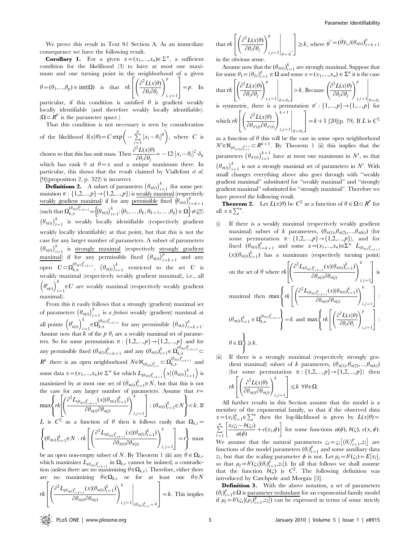We prove this result in Text S1 Section A. As an immediate consequence we have the following result.

**Corollary 1.** For a given  $x = (x_1,...,x_n) \in \Sigma^n$ , a sufficient condition for the likelihood (3) to have at most one maximum and one turning point in the neighborhood of a given

$$
\theta = (\theta_1, ..., \theta_p) \in \text{int}(\Omega) \quad \text{is} \quad \text{that} \quad rk \left[ \left( \frac{\partial^2 L(x|\theta)}{\partial \theta_i \partial \theta_j} \right)_{i,j=1}^p \right] = p. \quad \text{In}
$$

particular, if this condition is satisfied  $\theta$  is gradient weakly locally identifiable (and therefore weakly locally identifiable).  $(\Omega \subset \mathbb{R}^p)$  is the parameter space.)

That this condition is not necessary is seen by consideration

of the likelihood 
$$
l(x|\theta) = C \exp\left(-\sum_{i=1}^{p} [x_i - \theta_i]^4\right)
$$
, where C is

chosen so that this has unit mass. Then  $\frac{L(x|\theta)}{\partial \theta_i \partial \theta_j} = -12 \left[x_i - \theta_i\right]^2 \cdot \delta_{ij}$ which has rank 0 at  $\theta = x$  and a unique maximum there. In particular, this shows that the result claimed by Viallefont et al.

[9](proposition 2, p. 322) is incorrect. **Definitions 2.** A subset of parameters  $(\theta_{\pi(i)})_{i=1}^k$  (for some permutation  $\pi$  :  $\{1,2,...,p\}$   $\rightarrow$   $\{1,2,...,p\}$  is weakly maximal (respectively weakly gradient maximal) if for any permissible fixed  $(\theta_{\pi(i)})_{i=k+1}^p$  $\overline{\left(\text{such that} \ \Omega_{k,\pi}^{(\theta_{\pi(i)})_{i=k+1}^p = \left\{\left(\theta_{\pi(i)}\right)_{i=1}^k : \left(\theta_1, \ldots, \theta_k, \theta_{k+1}, \ldots, \theta_p\right) \in \Omega\right\} \neq \emptyset}}$  $(\theta_{\pi(i)})_{i=1}^k$  is weakly locally identifiable (respectively gradient weakly locally identifiable) at that point, but that this is not the case for any larger number of parameters. A subset of parameters  $(\theta_{\pi(i)})_{i=1}^k$  is strongly maximal (respectively strongly gradient  $\frac{\text{maximal}}{\text{maximal}}$  if for any permissible fixed  $(\theta_{\pi(i)})_{i=k+1}^p$  and any open  $U \subset \Omega_{k,\pi}^{(\theta_{\pi(i)})_{i=k+1}^p}$ ,  $(\theta_{\pi(i)})_{i=1}^k$  restricted to the set U is weakly maximal (respectively weakly gradient maximal), i.e., all  $\left(\theta'_{\pi(i)}\right)^k$  $\mathcal{L}_{i=1} \in U$  are weakly maximal (respectively weakly gradient maximal).

From this it easily follows that a strongly (gradient) maximal set of parameters  $(\theta_{\pi(i)})_{i=1}^k$  is *a fortiori* weakly (gradient) maximal at all points  $(\theta'_{\pi(i)})^k$  $\sum_{i=1}^k \in \Omega_{k,\pi}^{(\theta_{\pi(i)})_{i=k+1}^p}$  for any permissible  $(\theta_{\pi(i)})_{i=k+1}^p$ . Assume now that k of the p  $\theta_i$  are a weakly maximal set of parameters. So for some permutation  $\pi$  :  $\{1,2,...,p\} \rightarrow \{1,2,...,p\}$  and for any permissible fixed  $(\theta_{\pi(i)})_{i=k+1}^p$  and any  $(\theta_{\pi(i)})_{i=1}^k \in \Omega_{k,\pi}^{(\theta_{\pi(i)})_{i=k+1}^p}$  $R^k$  there is an open neighborhood  $N \in \aleph_{(\theta_{\pi(i)})_{i=1}^k} \subset \Omega_{k,\pi}^{(\theta_{\pi(i)})_{i=k+1}^p}$  and some data  $x = (x_1,...,x_n) \in \Sigma^n$  for which  $L_{(\theta_{\pi(i)})_{i=k+1}^p} (x | (\theta_{\pi(i)})_{i=1}^k)$  is maximized by at most one set of  $(\hat{\theta}_{\pi(i)})_{i=1}^k \in \mathbb{R}$ , but that this is not the case for any larger number of parameters. Assume that  $r=$ 

$$
\max \left\{ rk \left[ \left( \frac{\partial^2 L_{(\theta_{\pi(i)})_{i=k+1}^p} (x | (\theta_{\pi(i)})_{i=1}^k)}{\partial \theta_{\pi(i)} \partial \theta_{\pi(j)}} \right)_{i,j=1}^k \right] : (\theta_{\pi(i)})_{i=1}^k \in N \right\} < k. \text{ If } L \text{ is } C^2 \text{ as a function of } \theta \text{ then it follows easily that } \Omega_{k,r} =
$$

$$
\begin{cases}\n\text{(}\theta_{\pi(i)})_{i=1}^k \in N : rk \left[ \left( \frac{\partial^2 L_{(\theta_{\pi(i)})_{i=k+1}^p} (x | (\theta_{\pi(i)})_{i=1}^k)}{\partial \theta_{\pi(i)} \partial \theta_{\pi(j)}} \right)_{i,j=1}^k \right] = r \right\} \text{ must} \\
\text{and} \\
\text{for } \theta_{\pi(i)} \in N : rk \left[ \left( \frac{\partial^2 L_{(\theta_{\pi(i)})_{i=k+1}^p} (x | (\theta_{\pi(i)})_{i=1}^k)}{\partial \theta_{\pi(i)} \partial \theta_{\pi(j)}} \right)_{i,j=1}^k \right] = r \right\} \text{ must} \\
\text{and} \\
\text{for } \theta_{\pi(i)} \in N : rk \left[ \left( \frac{\partial^2 L_{(\theta_{\pi(i)})_{i=k+1}^p} (x | (\theta_{\pi(i)})_{i=1}^k)}{\partial \theta_{\pi(i)} \partial \theta_{\pi(j)}} \right)_{i,j=1}^k \right] = r \right\} \text{ must} \\
\text{and} \\
\text{for } \theta_{\pi(i)} \in N : rk \left[ \left( \frac{\partial^2 L_{(\theta_{\pi(i)})_{i=k+1}^p} (x | (\theta_{\pi(i)})_{i=1}^k)}{\partial \theta_{\pi(i)} \partial \theta_{\pi(j)}} \right)_{i,j=1}^k \right] = r \right\} \text{ must} \\
\text{and} \\
\text{for } \theta_{\pi(i)} \in N : rk \left[ \left( \frac{\partial^2 L_{(\theta_{\pi(i)})_{i=k+1}^p} (x | (\theta_{\pi(i)})_{i=1}^k)}{\partial \theta_{\pi(i)} \partial \theta_{\pi(j)}} \right)_{i,j=1}^k \right] = r \right\} \text{ must} \\
\text{and} \\
\text{for } \theta_{\pi(i)} \in N : rk \left[ \left( \frac{\partial^2 L_{(\theta_{\pi(i)})_{i=k+1}^p} {(\theta_{\pi(i)})^p} \right)_{i,j=1}^k \right] = r \right\} \text{ must} \\
\text{and} \\
\text{for } \theta_{\pi(i)} \in N : rk \left[ \left( \frac{\partial^2 L_{(\theta_{\pi(i)})_{i=k+1}^p} {(\theta_{\pi(i)})^p} \right)_{i,j=1}^k \right] = r \right\} \text{ must} \\
$$

be an open non-empty subset of N. By Theorem 1 (iii) any  $\hat{\theta} \in \Omega_{k,r}$ which maximizes  $L_{(\theta_{\pi(i)})_{i=k+1}^p}$  in  $\Omega_{k,r}$  cannot be isolated, a contradiction (unless there are no maximizing  $\hat{\theta} \in \Omega_{k,r}$ ). Therefore, either there are no maximizing  $\widehat{\theta} \in \Omega_{k,r}$  or for at least one  $\widehat{\theta} \in N$ 

$$
rk\left[\left(\frac{\partial^2 L_{(\theta_{\pi(i)})_{i=k+1}^p}(x|(\theta_{\pi(i)})_{i=1}^k)}{\partial \theta_{\pi(i)}\partial \theta_{\pi(j)}}\right)_{i,j=1}^k\right]_{(\theta_{\pi(i)})_{i=1}^k=\widehat{\theta}}\right]=k.
$$
 This implies

that 
$$
r k \left[ \left( \frac{\partial^2 L(x|\theta)}{\partial \theta_i \partial \theta_j} \right)_{i,j=1}^p \bigg|_{\theta = \widehat{\theta}} \right] \ge k
$$
, where  $\widehat{\theta}' = (\widehat{\theta}) \cup (\theta_{\pi(i)})_{i=k+1}^p$ 

in the obvious sense.

Assume now that the  $(\theta_{\pi(i)})_{i=1}^k$  are strongly maximal. Suppose that for some  $\theta_1 = (\theta_{1i})_{i=1}^p \in \Omega$  and some  $x = (x_1,...,x_n) \in \Sigma^n$  it is the case

that 
$$
r k \left[ \left( \frac{\partial^2 L(x|\theta)}{\partial \theta_i \partial \theta_j} \right)_{i,j=1}^p \middle|_{\theta=\theta_1} \right] > k
$$
. Because  $\left( \frac{\partial^2 L(x|\theta)}{\partial \theta_i \partial \theta_j} \right)_{i,j=1}^p \middle|_{\theta=\theta_1}$   
is symmetric, there is a permutation  $\pi' : \{1,...,p\} \rightarrow \{1,...,p\}$  for  
which  $r k \left[ \left( \frac{\partial^2 L(x|\theta)}{\partial \theta_{\pi'(i)} \partial \theta_{\pi'(i)}} \right)_{i,j=1}^{k+1} \middle|_{\theta=\theta_1} \right] = k+1$  [20](p. 79). If *L* is  $C^2$ 

as a function of  $\theta$  this will be the case in some open neighborhood  $N' \in \aleph_{(\theta_{1\pi'(i)})_{i=1}^{k+1}} \subset R^{k+1}$ . By Theorem 1 (ii) this implies that the parameters  $(\theta_{\pi'(i)})_{i=1}^{k+1}$  $\sum_{i=1}^{K+1}$  have at most one maximum in  $N'$ , so that  $(\theta_{\pi(i)})_{i=1}^k$  is not a strongly maximal set of parameters in N'. With small changes everything above also goes through with ''weakly gradient maximal'' substituted for ''weakly maximal'' and ''strongly gradient maximal'' substituted for ''strongly maximal''. Therefore we have proved the following result.

**Theorem 2.** Let  $L(x|\theta)$  be  $C^2$  as a function of  $\theta \in \Omega \subset \mathbb{R}^p$  for all  $x \in \sum^n$ .

(i) If there is a weakly maximal (respectively weakly gradient maximal) subset of k parameters,  $(\theta_{\pi(1)}, \theta_{\pi(2)},..., \theta_{\pi(k)})$  (for some permutation  $\pi : \{1,2,...,p\} \rightarrow \{1,2,...,p\}$ , and for fixed  $(\theta_{\pi(i)})_{i=k+1}^p$  and some  $x = (x_1,...,x_n) \in \sum^n L_{(\theta_{\pi(i)})_{i=k+1}^p}$  $(x | (\theta_{\pi(i)})_{i=1}^k)$  has a maximum (respectively turning point)

on the set of 
$$
\theta
$$
 where  $rk \left[ \left( \frac{\partial^2 L_{(\theta_{\pi(i)})_{i=k+1}^p}(x | (\theta_{\pi(i)})_{i=1}^k)}{\partial \theta_{\pi(i)} \partial \theta_{\pi(j)}} \right)_{i,j=1}^k \right]$  is  
maximal then  $\max \left\{ rk \left[ \left( \frac{\partial^2 L_{(\theta_{\pi(i)})_{i=k+1}^p}(x | (\theta_{\pi(i)})_{i=1}^k)}{\partial \theta_{\pi(i)} \partial \theta_{\pi(j)}} \right)_{i,j=1}^k \right] : \left. (\theta_{\pi(i)})_{i=1}^k \in \Omega_{k,\pi}^{(\theta_{\pi(i)})_{i=k+1}^p} \right\} = k$  and  $\max \left\{ rk \left[ \left( \frac{\partial^2 L(x | \theta)}{\partial \theta_i \partial \theta_j} \right)_{i,j=1}^p \right] : \theta \in \Omega \right\} \ge k$ .

(ii) If there is a strongly maximal (respectively strongly gradient maximal) subset of k parameters,  $(\theta_{\pi(1)},\theta_{\pi(2)},...,\theta_{\pi(k)})$ (for some permutation  $\pi$ : {1,2,...,p} + {1,2,...,p}) then  $rk\left[\left(\frac{\partial^2 L(x|\theta)}{\partial \theta}\right)\right]$  $\overline{\partial \theta_{\pi(i)}\partial \theta_{\pi(j)}}$  $\int \frac{\partial^2 L(x|\theta)}{\partial x^k} dx$  $i, j = 1$  $\sqrt{2}$ 4 1  $\vert \leq k \ \forall \theta \in \Omega.$ 

All further results in this Section assume that the model is a member of the exponential family, so that if the observed data  $x = (x_i)_{i=1}^n \in \sum^n$  then the log-likelihood is given by  $L(x|\theta) =$  $\sum_{l=1}^n$  $x_l \varsigma_l - b(\varsigma_l)$  $\left[\frac{x_1\varsigma_1-b(\varsigma_1)}{a(\phi)}+c(x_1,\phi)\right]$  for some functions  $a(\phi), b(\varsigma), c(x, \phi)$ . We assume that the natural parameters  $\varsigma_l = \varsigma_l \left[ \left( \theta_i \right)_{i=1}^p, z_l \right]$  are functions of the model parameters  $(\theta_i)_{i=1}^p$  and some auxiliary data  $z_l$ , but that the scaling parameter  $\phi$  is not. Let  $\mu_l = b'(z_l) = E[x_l]$ , so that  $\mu_l = b'(\varsigma_l[(\theta_i)_{i=1}^p, z_l])$ . In all that follows we shall assume that the function  $b(\zeta)$  is  $C^2$ . The following definition was introduced by Catchpole and Morgan [3].

Definition 3. With the above notation, a set of parameters  $(\theta_i)_{i=1}^p \in \Omega$  is <u>parameter redundant</u> for an exponential family model if  $\mu_l = b'(\varsigma_l[(\rho_i)_{i=1}^q, z_l])$  can be expressed in terms of some strictly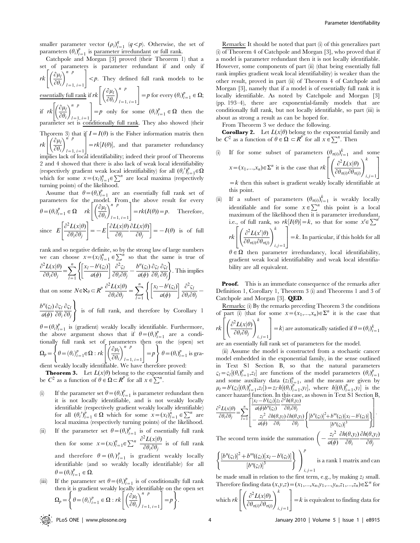smaller parameter vector  $(\rho_i)_{i=1}^q$   $(q < p)$ . Otherwise, the set of parameters  $(\theta_i)_{i=1}^p$  is <u>parameter irredundant</u> or full rank.

Catchpole and Morgan [3] proved (their Theorem 1) that a set of parameters is parameter redundant if and only if  $rk\bigg|\bigg(\frac{\partial\mu_i}{\partial\theta_i}$  $\left(\partial \mu_l\right)^{n-p}$  $\left[\left(\frac{\partial \mu_l}{\partial \theta_i}\right)_{l=1, i=1}^{n-p} \right] < p$ . They defined full rank models to be essentially full rank if  $rk \left[ \left( \frac{\partial \mu_i}{\partial \theta_i} \right) \right]$  $\left(\partial \mu_l\right)^{n-p}$  $\left[\left(\frac{\partial \mu_l}{\partial \theta_i}\right)_{l=1, i=1}^{n-p} \right] = p \text{ for every } (\theta_i)_{i=1}^p \in \Omega;$ if  $rk \left| \left( \frac{\partial \mu_l}{\partial \theta_i} \right) \right|$  $\left(\frac{\partial \mu_l}{\partial n}\right)^{n-p}$  $\left[\left(\frac{\partial \mu_l}{\partial \theta_i}\right)^n \Big|_{l=1, i=1}^p\right] = p$  only for some  $(\theta_i)_{i=1}^p \in \Omega$  then the parameter set is conditionally full rank. They also showed (their Theorem 3) that if  $I = I(\theta)$  is the Fisher information matrix then  $rk\bigg|\bigg(\frac{\partial\mu_i}{\partial\theta_i}$  $\left(\partial \mu_l\right)^{n'p}$  $l=1, i=1$  $rk\left[\left(\frac{\partial\mu}{\partial\theta}\right)\right] = rk[I(\theta)],$  and that parameter redundancy implies lack of local identifiability; indeed their proof of Theorems 2 and 4 showed that there is also lack of weak local identifiability (respectively gradient weak local identifiability) for all  $(\theta_i')_{i=1}^p \in \Omega$ which for some  $x = (x_l)_{l=1}^n \in \sum^n$  are local maxima (respectively turning points) of the likelihood.

Assume that  $\theta = (\theta_i)_{i=1}^p$  are an essentially full rank set of parameters for the model. From the above result for every  $\theta = (\theta_i)_{i=1}^p \in \Omega$   $rk \left| \left( \frac{\partial \mu_i}{\partial \theta_i} \right) \right|$  $\left(\partial \mu_l\right)^{n-p}$  $\left[\left(\frac{\partial \mu_l}{\partial \theta_i}\right)_{l=1, i=1}^{n-p}\right] = rk(I(\theta)) = p.$  Therefore, since  $E$  $\partial^2 L(x|\theta)$  $\left[\frac{\partial^2 L(x|\theta)}{\partial \theta_i \partial \theta_j}\right] = -E\left[\frac{\partial L(x|\theta)}{\partial \theta_i}\right]$  $\partial \theta_i$  $\partial L(x|\theta)$  $\left[\frac{\partial L(x|\theta)}{\partial \theta_i} \frac{\partial L(x|\theta)}{\partial \theta_j}\right] = -I(\theta)$  is of full

rank and so negative definite, so by the strong law of large numbers we can choose  $x = (x_l)_{l=1}^n \in \sum_{i=1}^n$  so that the same is true of  $\partial^2 L(x|\theta)$  $\frac{\partial^2 L(x|\theta)}{\partial \theta_i \partial \theta_j} = \sum_{l=1}^n$  $l=1$  $x_l - b'(\varsigma_l)$  $a(\phi)$  $\begin{bmatrix} x_l - b'(\varsigma_l) \end{bmatrix} \begin{bmatrix} \frac{\partial^2 \varsigma_l}{\partial \varsigma_l} \end{bmatrix}$  $\frac{\partial^2 \varsigma_l}{\partial \theta_i \partial \theta_j} - \frac{b''(\varsigma_l)}{a(\phi)}$  $a(\phi)$  $\partial \varsigma_i$  $\partial \theta_i$  $\partial \varsigma_i$  $\left\{ \left[ \frac{x_l - b'(z_l)}{a(\phi)} \right] \frac{\partial^2 z_l}{\partial \theta_i \partial \theta_j} - \frac{b''(z_l)}{a(\phi)} \frac{\partial z_l}{\partial \theta_i} \frac{\partial z_l}{\partial \theta_j} \right\}$ . This implies that on some  $N \in \mathbb{N}_{\theta} \subset R^p \frac{\partial^2 L(x|\theta)}{\partial \theta \partial \theta}$  $\frac{\partial^2 L(x|\theta)}{\partial \theta_i \partial \theta_j} = \sum_{l=1}^n$  $x_l - b'(\varsigma_l)$  $\begin{bmatrix} x_l - b'(\varsigma_l) \end{bmatrix} \partial^2 \varsigma_l$  $\left\{\left[\frac{x_l-b'(\varsigma_l)}{a(\phi)}\right]\frac{\partial^2\varsigma_l}{\partial\theta_i\partial\theta_j}-\right.$ 

 $l = 1$  $a(\phi)$  $b''(\varsigma_l)$  $\partial \varsigma_l$  $\partial \theta_i$  $\partial \varsigma_l$  $\partial \theta_j$  $\mathcal{L}$  $\overline{\mathcal{L}}$ is of full rank, and therefore by Corollary 1

 $a(\phi)$  $\left| \right|$  $\theta = (\theta_i)_{i=1}^p$  is (gradient) weakly locally identifiable. Furthermore, the above argument shows that if  $\theta = (\theta_i)_{i=1}^p$  are a conditionally full rank set of parameters then on the (open) set  $\Omega_p = \left\{\theta = (\theta_i)_{i=1}^p \in \Omega : rk \middle| \left(\frac{\partial \mu_i}{\partial \theta_i}\right)$  $\left(\frac{\partial u_l}{\partial u_l}\right)^{n-p}$  $\left\{\theta = (\theta_i)_{i=1}^p \in \Omega : rk \left[ \left( \frac{\partial \mu_i}{\partial \theta_i} \right)^{n-p} \right] = p \right\} \theta = (\theta_i)_{i=1}^p$  is gra-

 $l=1, i=1$ dient weakly locally identifiable. We have therefore proved:

**Theorem 3.** Let  $L(x|\theta)$  belong to the exponential family and be  $C^2$  as a function of  $\theta \in \Omega \subset R^{p^{\circ}}$  for all  $x \in \sum^n$ .

- (i) If the parameter set  $\theta = (\theta_i)_{i=1}^p$  is parameter redundant then it is not locally identifiable, and is not weakly locally identifiable (respectively gradient weakly locally identifiable) for all  $(\theta_i')_{i=1}^{\rho} \in \Omega$  which for some  $x = (x_i)_{i=1}^{\eta} \in \sum^n$  are local maxima (respectively turning points) of the likelihood.
- (ii) If the parameter set  $\theta = (\theta_i)_{i=1}^p$  is of essentially full rank then for some  $x = (x_l)_{l=1}^n \in \sum^n \frac{\partial^2 L(x|\theta)}{\partial \theta \partial \theta_l}$  $\frac{\partial \Theta_i}{\partial \theta_i}$  is of full rank and therefore  $\theta = (\theta_i)_{i=1}^p$  is gradient weakly locally identifiable (and so weakly locally identifiable) for all  $\theta = (\theta_i)_{i=1}^p \in \Omega.$
- (iii) If the parameter set  $\theta = (\theta_i)_{i=1}^p$  is of conditionally full rank then it is gradient weakly locally identifiable on the open set  $\Omega_p = \left\{\theta = (\theta_i)_{i=1}^p \in \Omega : rk \middle| \left(\frac{\partial \mu_i}{\partial \theta_i}\right)$  $\left(\partial \mu_l\right)^{n-p}$  $l=1, i=1$  $\left\{\theta = (\theta_i)_{i=1}^p \in \Omega : rk \left[\left(\frac{\partial \mu_i}{\partial \theta}\right)^{n-p} \right] = p\right\}.$

Remarks: It should be noted that part (i) of this generalizes part (i) of Theorem 4 of Catchpole and Morgan [3], who proved that if a model is parameter redundant then it is not locally identifiable. However, some components of part (ii) (that being essentially full rank implies gradient weak local identifiability) is weaker than the other result, proved in part (ii) of Theorem 4 of Catchpole and Morgan [3], namely that if a model is of essentially full rank it is locally identifiable. As noted by Catchpole and Morgan [3] (pp. 193–4), there are exponential-family models that are conditionally full rank, but not locally identifiable, so part (iii) is about as strong a result as can be hoped for.

From Theorem 3 we deduce the following.

**Corollary 2.** Let  $L(x|\theta)$  belong to the exponential family and be  $C^2$  as a function of  $\theta \in \Omega \subset \mathbb{R}^p$  for all  $x \in \sum^n$ . Then

(i) If for some subset of parameters  $(\theta_{\pi(i)})_{i=1}^k$  and some  $x = (x_1,...,x_n) \in \Sigma^n$  it is the case that  $rk \left[ \left( \frac{\partial^2 L(x|\theta)}{\partial \theta} \right)$  $\overline{\partial \theta_{\pi(i)} \partial \theta_{\pi(j)}}$  $\int \frac{\partial^2 L(x|\theta)}{\partial x^k} dx$  $i, j = 1$  $\sqrt{2}$  $\overline{\phantom{a}}$ 3  $\overline{1}$ 

 $=k$  then this subset is gradient weakly locally identifiable at this point.

(ii) If a subset of parameters  $(\theta_{\pi(i)})_{i=1}^k$  is weakly locally identifiable and for some  $x \in \sum^n$  this point is a local maximum of the likelihood then it is parameter irredundant, i.e., of full rank, so  $rk[I(\theta)] = k$ , so that for some  $x' \in \sum^{n}$ 

$$
rk\left[\left(\frac{\partial^2 L(x'|\theta)}{\partial \theta_{\pi(i)}\partial \theta_{\pi(j)}}\right)_{i,j=1}^k\right] = k.
$$
 In particular, if this holds for all

 $\theta \in \Omega$  then parameter irredundancy, local identifiability, gradient weak local identifiability and weak local identifiability are all equivalent.

**Proof.** This is an immediate consequence of the remarks after Definition 1, Corollary 1, Theorem 3 (i) and Theorems 1 and 3 of Catchpole and Morgan [3]. QED.

Remarks: (i) By the remarks preceding Theorem 3 the conditions of part (i) (that for some  $x = (x_1,...,x_n) \in \Sigma^n$  it is the case that  $rk\left[\left(\frac{\partial^2 L(x|\theta)}{\partial \theta^2}\right)^k\right]$ 

$$
rk\left[\left(\frac{\partial L(x|\theta)}{\partial \theta_i \partial \theta_j}\right)_{i,j=1}\right] = k
$$
 are automatically satisfied if  $\theta = (\theta_i)_{i=1}^k$ 

are an essentially full rank set of parameters for the model.

(ii) Assume the model is constructed from a stochastic cancer model embedded in the exponential family, in the sense outlined in Text S1 Section B, so that the natural parameters  $\zeta_l = \zeta_l [(\theta_i)_{i=1}^p, z_l]$  are functions of the model parameters  $(\theta_i)_{i=1}^p$ and some auxiliary data  $(z_l)_{l=1}^n$ , and the means are given by  $\mu_l = b'(\varsigma_l[(\theta_i)_{i=1}^p, z_l]) = z_l \cdot h[(\theta_i)_{i=1}^p, y_l],$  where  $h[(\theta_i)_{i=1}^p, y_l]$  is the cancer hazard function. In this case, as shown in Text S1 Section B,  $[x_l-b'(\varsigma_l)]z_l$  $\partial^2 h(\theta, y_l)$  $\partial \theta_i \partial \theta_j$  $\sqrt{2}$ 1

$$
\frac{\partial^2 L(x|\theta)}{\partial \theta_i \partial \theta_j} = \sum_{l=1}^n \left[ \frac{a(\phi)b''(\varsigma_l)}{a(\phi)} \frac{\partial \theta_i \partial \theta_j}{\partial \theta_i} \frac{\partial h(\theta,\upsilon_l)}{\partial \theta_j} \left\{ \frac{[b''(\varsigma_l)]^2 + b'''(\varsigma_l)[x_l - b'(\varsigma_l)]}{[b''(\varsigma_l)]^3} \right\} \right].
$$

The second term inside the summation  $\left(-\frac{z_1^2}{\sqrt{2}}\right)$  $a(\phi)$  $\partial h(\theta,y_l)$  $\partial \theta_i$  $\partial h(\theta,y_l)$  $\partial \theta_j$  $\sqrt{2}$ 

$$
\left\{ \frac{\left[b''(\varsigma_l)\right]^2 + b'''((\varsigma_l)\left[x_l - b'(\varsigma_l)\right]}{\left[b''(\varsigma_l)\right]^3} \right\} \bigg|_{i,j=1}^p
$$
 is a rank 1 matrix and can

be made small in relation to the first term, e.g., by making  $z_l$  small. Therefore finding data  $(x,y,z) = (x_1,...,x_n,y_1,...,y_n,z_1,...,z_n)\in\Sigma^n$  for

which 
$$
rk \left[ \left( \frac{\partial^2 L(x|\theta)}{\partial \theta_{\pi(i)} \partial \theta_{\pi(j)}} \right)_{i,j=1}^k \right] = k
$$
 is equivalent to finding data for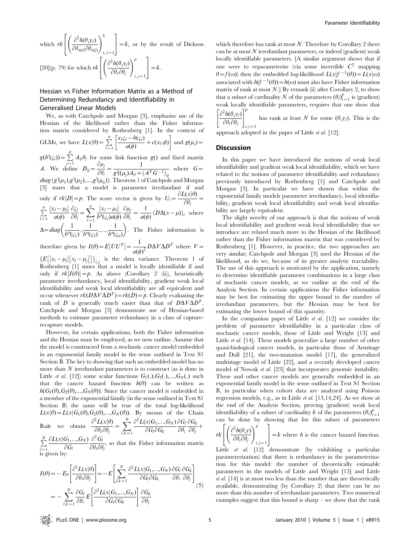which  $rk \left[ \left( \frac{\partial^2 h(\theta, y_l)}{\partial \theta_l} \right) \right]$  $\overline{\partial \theta_{\pi(i)}\partial \theta_{\pi(j)}}$  $\int \frac{\partial^2 h(\theta, v)}{\partial x^k}$  $i, j = 1$  $\sqrt{2}$ 4 1  $=$ k, or by the result of Dickson [20](p. 79) for which  $rk \left[ \left( \frac{\partial^2 h(\theta, y_l)}{\partial \theta_l} \right) \right]$  $\partial \theta_i \partial \theta_j$  $\left(\frac{\partial^2 h(\theta, v_i)}{\partial v_i}\right)^p$  $i, j = 1$  $\sqrt{2}$ 4 1  $=$ k.

# Hessian vs Fisher Information Matrix as a Method of Determining Redundancy and Identifiability in Generalised Linear Models

We, as with Catchpole and Morgan [3], emphasise use of the Hessian of the likelihood rather than the Fisher information matrix considered by Rothenberg [1]. In the context of GLMs, we have  $L(x|\theta) = \sum_{l=1}^{n}$  $x_l \varsigma_l - b(\varsigma_l)$  $\left[\frac{x_1\varsigma_1-b(\varsigma_1)}{a(\phi)}+c(x_1,\phi)\right]$  and  $g(\mu_i)=$  $g(b'(\varsigma_i)) = \sum_{j=1}^p A_{ij} \theta_j$  for some link function  $g()$  and fixed matrix A. We define  $D_{ij} = \frac{\partial \mu_j}{\partial \rho_i}$  $\frac{\partial \mu_j}{\partial \theta_i} = \frac{1}{g'((\mu_j)A_{ji})}$  $\frac{1}{g'((\mu_j)A_{ji}=(A^TG^{-1})_{ij}}$  where  $G=$  $diag(g'(\mu_1),g'(\mu_2),...,g'(\mu_n))$ . Theorem 1 of Catchpole and Morgan [3] states that a model is parameter irredundant if and only if  $rk[D]=p$ . The score vector is given by  $U_i = \frac{\partial L(x|\theta)}{\partial \theta}$  $\frac{\partial u_i}{\partial \theta_i} =$  $\sum_{l=1}^n$  $[x_l-\mu_l]$  $a(\phi)$  $\partial \varsigma_l$  $\frac{\partial \varsigma_l}{\partial \theta_i} = \sum_{l=1}^n$  $l=1$  $[x_l-\mu_l]$  $b''(\varsigma_l)a(\phi)$  $\partial \mu_i$  $\frac{\partial \mu_l}{\partial \theta_i} = \frac{1}{a(q)}$  $\frac{1}{a(\phi)} (D\Delta(x-\mu))_i$  where  $\Delta = diag\left(\frac{1}{b''(\varsigma_1)}, \frac{1}{b''(\varsigma_2)}\right)$  $\frac{1}{b''(\varsigma_2)},...,\frac{1}{b''(\varsigma_1)}$  $\left(\frac{1}{b''(\zeta_1)}, \frac{1}{b''(\zeta_2)}, ..., \frac{1}{b''(\zeta_n)}\right)$ . The Fisher information is therefore given by  $I(\theta) = E[UU^T] = \frac{1}{\sqrt{2\pi}}$  $\frac{1}{a(\phi)^2}$  $D\Delta V \Delta D^T$  where  $V =$ 

 $\left( E\left[ \left[ x_i - \mu_i \right] \left[ x_j - \mu_j \right] \right] \right)_{i,j}$  is the data variance. Theorem 1 of Rothenberg [1] states that a model is locally identifiable if and only if  $rk[I(\theta)]=p$ . As above (Corollary 2 (ii)), heuristically parameter irredundancy, local identifiability, gradient weak local identifiability and weak local identifiability are all equivalent and occur whenever  $rk(D\Delta V\Delta D^T)=rk(D)=p$ . Clearly evaluating the rank of D is generally much easier than that of  $D\Delta V\Delta D^T$ . Catchpole and Morgan [3] demonstrate use of Hessian-based methods to estimate parameter redundancy in a class of capturerecapture models.

However, for certain applications, both the Fisher information and the Hessian must be employed, as we now outline. Assume that the model is constructed from a stochastic cancer model embedded in an exponential family model in the sense outlined in Text S1 Section B. The key to showing that such an embedded model has no more than  $N$  irredundant parameters is to construct (as is done in Little *et al.* [12]) some scalar functions  $G_1(.), G_2(.),...,G_N(.)$  such that the cancer hazard function  $h(\theta)$  can be written as  $h(G_1(\theta),G_2(\theta),...,G_N(\theta))$ . Since the cancer model is embedded in a member of the exponential family (in the sense outlined in Text S1 Section B) the same will be true of the total log-likelihood  $L(x|\theta) = L(x|G_1(\theta),G_2(\theta),...,G_N(\theta))$ . By means of the Chain  $\partial^2 L(x|\theta)$  $\partial^2 L(x|G_1,...,G_N)$  $\partial G_i$  $\partial G_k$ 

Rule we obtain  $\frac{\partial^2 L(x|\theta)}{\partial \theta_i \partial \theta_j} = \sum_{k=1}^N$  $l,k=1$  $\partial G_l \partial G_k$  $\partial \theta_i$  $\frac{\partial \mathbf{G}_k}{\partial \theta_j} +$  $\partial L(x|G_1,...,G_N)$  $\partial^2 G_i$ 

 $\sum_{l=1}^{N}$  $\partial G_l$  $\frac{\partial u}{\partial \theta_i \partial \theta_j}$ , so that the Fisher information matrix is given by:

$$
I(\theta) = -E_{\theta} \left[ \frac{\partial^2 L(x|\theta)}{\partial \theta_i \partial \theta_j} \right] = -E \left[ \sum_{l,k=1}^N \frac{\partial^2 L(x|G_1, ..., G_N)}{\partial G_l \partial G_k} \frac{\partial G_l}{\partial \theta_i} \frac{\partial G_k}{\partial \theta_j} \right]
$$
  
= 
$$
- \sum_{l,k=1}^N \frac{\partial G_l}{\partial \theta_i} E \left[ \frac{\partial^2 L(x|G_1, ..., G_N)}{\partial G_l \partial G_k} \right] \frac{\partial G_k}{\partial \theta_j}
$$
(5)

which therefore has rank at most  $N$ . Therefore by Corollary 2 there can be at most  $N$  irredundant parameters, or indeed (gradient) weak locally identifiable parameters. [A similar argument shows that if one were to reparameterise (via some invertible  $C^2$  mapping  $\theta = f(\omega)$  then the embedded log-likelihood  $L(x|f^{-1}(\theta)) = L(x|\omega)$ associated with  $h(f^{-1}(\theta)) = h(\omega)$  must also have Fisher information matrix of rank at most  $N$ .] By remark (ii) after Corollary 2, to show that a subset of cardinality N of the parameters  $(\theta_i)_{i=1}^p$  is (gradient) weak locally identifiable parameters, requires that one show that  $\partial^2 h(\theta, y_l)$  $\left[\partial^2 h(\theta, v)\right]^p$ 

 $\partial \theta_i \partial \theta_j$  $i, j = 1$ has rank at least N for some  $(\theta, y_l)$ . This is the

approach adopted in the paper of Little et al. [12].

#### **Discussion**

In this paper we have introduced the notions of weak local identifiability and gradient weak local identifiability, which we have related to the notions of parameter identifiability and redundancy previously introduced by Rothenberg [1] and Catchpole and Morgan [3]. In particular we have shown that within the exponential family models parameter irredundancy, local identifiability, gradient weak local identifiability and weak local identifiability are largely equivalent.

The slight novelty of our approach is that the notions of weak local identifiability and gradient weak local identifiability that we introduce are related much more to the Hessian of the likelihood rather than the Fisher information matrix that was considered by Rothenberg [1]. However, in practice, the two approaches are very similar; Catchpole and Morgan [3] used the Hessian of the likelihood, as do we, because of its greater analytic tractability. The use of this approach is motivated by the application, namely to determine identifiable parameter combinations in a large class of stochastic cancer models, as we outline at the end of the Analysis Section. In certain applications the Fisher information may be best for estimating the upper bound to the number of irredundant parameters, but the Hessian may be best for estimating the lower bound of this quantity.

In the companion paper of Little  $et$   $al.$  [12] we consider the problem of parameter identifiability in a particular class of stochastic cancer models, those of Little and Wright [13] and Little et al. [14]. These models generalize a large number of other quasi-biological cancer models, in particular those of Armitage and Doll [21], the two-mutation model [17], the generalized multistage model of Little [22], and a recently developed cancer model of Nowak *et al.* [23] that incorporates genomic instability. These and other cancer models are generally embedded in an exponential family model in the sense outlined in Text S1 Section B, in particular when cohort data are analysed using Poisson regression models, e.g., as in Little et al. [13,14,24]. As we show at the end of the Analysis Section, proving (gradient) weak local identifiability of a subset of cardinality k of the parameters  $(\theta_i)_{i=1}^p$ can be done by showing that for this subset of parameters

$$
rk\left[\left(\frac{\partial^2 h(\theta, y)}{\partial \theta_i \partial \theta_j}\right)_{i,j=1}^p\right] = k \text{ where } h \text{ is the cancer hazard function.}
$$

Little et al. [12] demonstrate (by exhibiting a particular parameterization) that there is redundancy in the parameterization for this model: the number of theoretically estimable parameters in the models of Little and Wright [13] and Little et al. [14] is at most two less than the number that are theoretically available, demonstrating (by Corollary 2) that there can be no more than this number of irredundant parameters. Two numerical examples suggest that this bound is sharp – we show that the rank